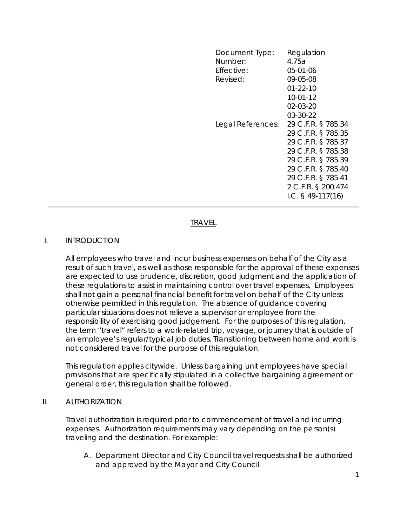| Document Type:<br>Number:<br>Effective:<br>Revised: | Regulation<br>4.75a<br>05-01-06<br>09-05-08<br>$01 - 22 - 10$<br>$10-01-12$<br>02-03-20                                                                                                             |
|-----------------------------------------------------|-----------------------------------------------------------------------------------------------------------------------------------------------------------------------------------------------------|
|                                                     | 03-30-22                                                                                                                                                                                            |
| Legal References:                                   | 29 C.F.R. § 785.34<br>29 C.F.R. § 785.35<br>29 C.F.R. § 785.37<br>29 C.F.R. § 785.38<br>29 C.F.R. § 785.39<br>29 C.F.R. § 785.40<br>29 C.F.R. § 785.41<br>2 C.F.R. § 200.474<br>I.C. $§$ 49-117(16) |

# TRAVEL

### I. INTRODUCTION

All employees who travel and incur business expenses on behalf of the City as a result of such travel, as well as those responsible for the approval of these expenses are expected to use prudence, discretion, good judgment and the application of these regulations to assist in maintaining control over travel expenses. Employees shall not gain a personal financial benefit for travel on behalf of the City unless otherwise permitted in this regulation. The absence of guidance covering particular situations does not relieve a supervisor or employee from the responsibility of exercising good judgement. For the purposes of this regulation, the term "travel" refers to a work-related trip, voyage, or journey that is outside of an employee's regular/typical job duties. Transitioning between home and work is not considered travel for the purpose of this regulation.

This regulation applies citywide. Unless bargaining unit employees have special provisions that are specifically stipulated in a collective bargaining agreement or general order, this regulation shall be followed.

#### II. AUTHORIZATION

Travel authorization is required prior to commencement of travel and incurring expenses. Authorization requirements may vary depending on the person(s) traveling and the destination. For example:

A. Department Director and City Council travel requests shall be authorized and approved by the Mayor and City Council.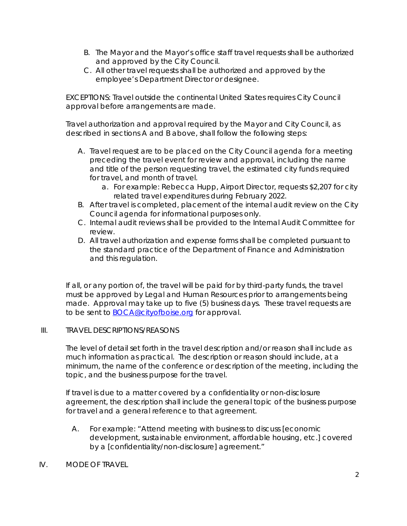- B. The Mayor and the Mayor's office staff travel requests shall be authorized and approved by the City Council.
- C. All other travel requests shall be authorized and approved by the employee's Department Director or designee.

EXCEPTIONS: Travel outside the continental United States requires City Council approval before arrangements are made.

Travel authorization and approval required by the Mayor and City Council, as described in sections A and B above, shall follow the following steps:

- A. Travel request are to be placed on the City Council agenda for a meeting preceding the travel event for review and approval, including the name and title of the person requesting travel, the estimated city funds required for travel, and month of travel.
	- a. For example: Rebecca Hupp, Airport Director, requests \$2,207 for city related travel expenditures during February 2022.
- B. After travel is completed, placement of the internal audit review on the City Council agenda for informational purposes only.
- C. Internal audit reviews shall be provided to the Internal Audit Committee for review.
- D. All travel authorization and expense forms shall be completed pursuant to the standard practice of the Department of Finance and Administration and this regulation.

If all, or any portion of, the travel will be paid for by third-party funds, the travel must be approved by Legal and Human Resources prior to arrangements being made. Approval may take up to five (5) business days. These travel requests are to be sent to BOCA@cityofboise.org for approval.

## III. TRAVEL DESCRIPTIONS/REASONS

The level of detail set forth in the travel description and/or reason shall include as much information as practical. The description or reason should include, at a minimum, the name of the conference or description of the meeting, including the topic, and the business purpose for the travel.

If travel is due to a matter covered by a confidentiality or non-disclosure agreement, the description shall include the general topic of the business purpose for travel and a general reference to that agreement.

- A. For example: "Attend meeting with business to discuss [economic development, sustainable environment, affordable housing, etc.] covered by a [confidentiality/non-disclosure] agreement."
- IV. MODE OF TRAVEL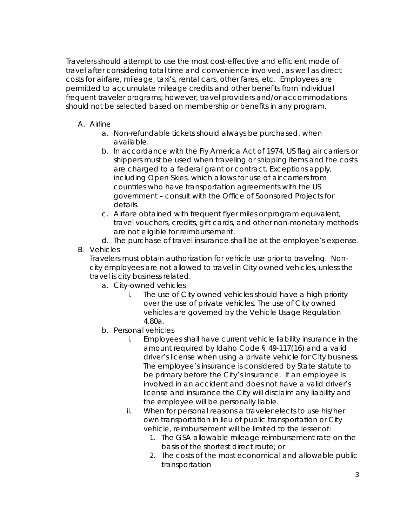Travelers should attempt to use the most cost-effective and efficient mode of travel after considering total time and convenience involved, as well as direct costs for airfare, mileage, taxi's, rental cars, other fares, etc. Employees are permitted to accumulate mileage credits and other benefits from individual frequent traveler programs; however, travel providers and/or accommodations should not be selected based on membership or benefits in any program.

- A. Airline
	- a. Non-refundable tickets should always be purchased, when available.
	- b. In accordance with the Fly America Act of 1974, US flag air carriers or shippers must be used when traveling or shipping items and the costs are charged to a federal grant or contract. Exceptions apply, including Open Skies, which allows for use of air carriers from countries who have transportation agreements with the US government – consult with the Office of Sponsored Projects for details.
	- c. Airfare obtained with frequent flyer miles or program equivalent, travel vouchers, credits, gift cards, and other non-monetary methods are not eligible for reimbursement.
	- d. The purchase of travel insurance shall be at the employee's expense.
- B. Vehicles

Travelers must obtain authorization for vehicle use prior to traveling. Noncity employees are not allowed to travel in City owned vehicles, unless the travel is city business related.

- a. City-owned vehicles
	- i. The use of City owned vehicles should have a high priority over the use of private vehicles. The use of City owned vehicles are governed by the Vehicle Usage Regulation 4.80a.
- b. Personal vehicles
	- i. Employees shall have current vehicle liability insurance in the amount required by Idaho Code § 49-117(16) and a valid driver's license when using a private vehicle for City business. The employee's insurance is considered by State statute to be primary before the City's insurance. If an employee is involved in an accident and does not have a valid driver's license and insurance the City will disclaim any liability and the employee will be personally liable.
	- ii. When for personal reasons a traveler elects to use his/her own transportation in lieu of public transportation or City vehicle, reimbursement will be limited to the lesser of:
		- 1. The GSA allowable mileage reimbursement rate on the basis of the shortest direct route; or
		- 2. The costs of the most economical and allowable public transportation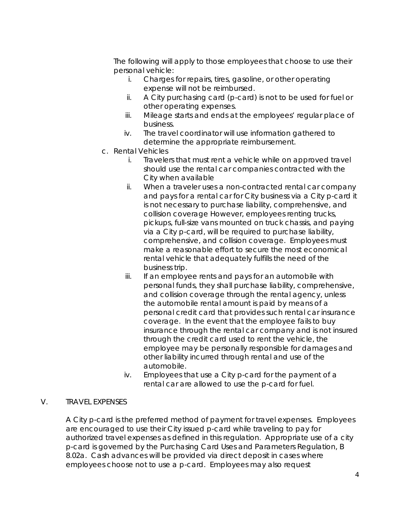The following will apply to those employees that choose to use their personal vehicle:

- i. Charges for repairs, tires, gasoline, or other operating expense will not be reimbursed.
- ii. A City purchasing card (p-card) is not to be used for fuel or other operating expenses.
- iii. Mileage starts and ends at the employees' regular place of business.
- iv. The travel coordinator will use information gathered to determine the appropriate reimbursement.
- c. Rental Vehicles
	- i. Travelers that must rent a vehicle while on approved travel should use the rental car companies contracted with the City when available
	- ii. When a traveler uses a non-contracted rental car company and pays for a rental car for City business via a City p-card it is not necessary to purchase liability, comprehensive, and collision coverage However, employees renting trucks, pickups, full-size vans mounted on truck chassis, and paying via a City p-card, will be required to purchase liability, comprehensive, and collision coverage. Employees must make a reasonable effort to secure the most economical rental vehicle that adequately fulfills the need of the business trip.
	- iii. If an employee rents and pays for an automobile with personal funds, they shall purchase liability, comprehensive, and collision coverage through the rental agency, unless the automobile rental amount is paid by means of a personal credit card that provides such rental car insurance coverage. In the event that the employee fails to buy insurance through the rental car company and is not insured through the credit card used to rent the vehicle, the employee may be personally responsible for damages and other liability incurred through rental and use of the automobile.
	- iv. Employees that use a City p-card for the payment of a rental car are allowed to use the p-card for fuel.

### V. TRAVEL EXPENSES

A City p-card is the preferred method of payment for travel expenses. Employees are encouraged to use their City issued p-card while traveling to pay for authorized travel expenses as defined in this regulation. Appropriate use of a city p-card is governed by the Purchasing Card Uses and Parameters Regulation, B 8.02a. Cash advances will be provided via direct deposit in cases where employees choose not to use a p-card. Employees may also request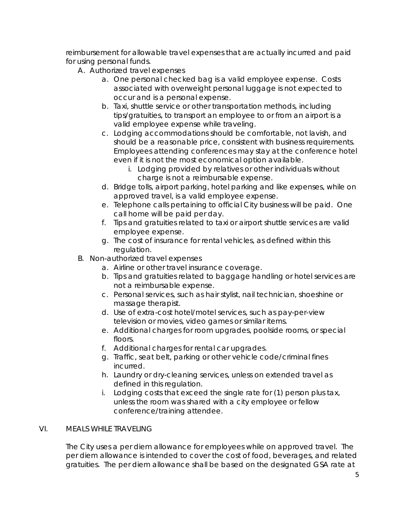reimbursement for allowable travel expenses that are actually incurred and paid for using personal funds.

- A. Authorized travel expenses
	- a. One personal checked bag is a valid employee expense. Costs associated with overweight personal luggage is not expected to occur and is a personal expense.
	- b. Taxi, shuttle service or other transportation methods, including tips/gratuities, to transport an employee to or from an airport is a valid employee expense while traveling.
	- c. Lodging accommodations should be comfortable, not lavish, and should be a reasonable price, consistent with business requirements. Employees attending conferences may stay at the conference hotel even if it is not the most economical option available.
		- i. Lodging provided by relatives or other individuals without charge is not a reimbursable expense.
	- d. Bridge tolls, airport parking, hotel parking and like expenses, while on approved travel, is a valid employee expense.
	- e. Telephone calls pertaining to official City business will be paid. One call home will be paid per day.
	- f. Tips and gratuities related to taxi or airport shuttle services are valid employee expense.
	- g. The cost of insurance for rental vehicles, as defined within this regulation.
- B. Non-authorized travel expenses
	- a. Airline or other travel insurance coverage.
	- b. Tips and gratuities related to baggage handling or hotel services are not a reimbursable expense.
	- c. Personal services, such as hair stylist, nail technician, shoeshine or massage therapist.
	- d. Use of extra-cost hotel/motel services, such as pay-per-view television or movies, video games or similar items.
	- e. Additional charges for room upgrades, poolside rooms, or special floors.
	- f. Additional charges for rental car upgrades.
	- g. Traffic, seat belt, parking or other vehicle code/criminal fines incurred.
	- h. Laundry or dry-cleaning services, unless on extended travel as defined in this regulation.
	- i. Lodging costs that exceed the single rate for (1) person plus tax, unless the room was shared with a city employee or fellow conference/training attendee.

## VI. MEALS WHILE TRAVELING

The City uses a per diem allowance for employees while on approved travel. The per diem allowance is intended to cover the cost of food, beverages, and related gratuities. The per diem allowance shall be based on the designated GSA rate at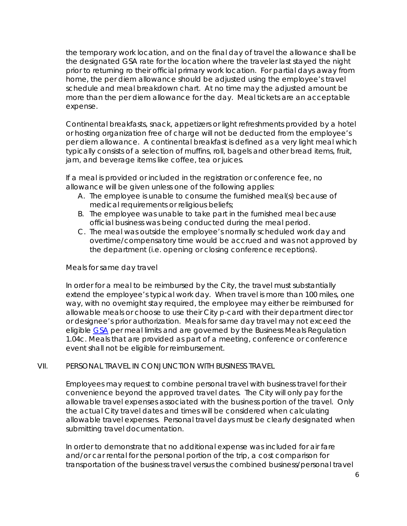the temporary work location, and on the final day of travel the allowance shall be the designated GSA rate for the location where the traveler last stayed the night prior to returning ro their official primary work location. For partial days away from home, the per diem allowance should be adjusted using the employee's travel schedule and meal breakdown chart. At no time may the adjusted amount be more than the per diem allowance for the day. Meal tickets are an acceptable expense.

Continental breakfasts, snack, appetizers or light refreshments provided by a hotel or hosting organization free of charge will not be deducted from the employee's per diem allowance. A continental breakfast is defined as a very light meal which typically consists of a selection of muffins, roll, bagels and other bread items, fruit, jam, and beverage items like coffee, tea or juices.

If a meal is provided or included in the registration or conference fee, no allowance will be given unless one of the following applies:

- A. The employee is unable to consume the furnished meal(s) because of medical requirements or religious beliefs;
- B. The employee was unable to take part in the furnished meal because official business was being conducted during the meal period.
- C. The meal was outside the employee's normally scheduled work day and overtime/compensatory time would be accrued and was not approved by the department (i.e. opening or closing conference receptions).

### Meals for same day travel

In order for a meal to be reimbursed by the City, the travel must substantially extend the employee's typical work day. When travel is more than 100 miles, one way, with no overnight stay required, the employee may either be reimbursed for allowable meals or choose to use their City p-card with their department director or designee's prior authorization. Meals for same day travel may not exceed the eligible GSA per meal limits and are governed by the Business Meals Regulation 1.04c. Meals that are provided as part of a meeting, conference or conference event shall not be eligible for reimbursement.

#### VII. PERSONAL TRAVEL IN CONJUNCTION WITH BUSINESS TRAVEL

Employees may request to combine personal travel with business travel for their convenience beyond the approved travel dates. The City will only pay for the allowable travel expenses associated with the business portion of the travel. Only the actual City travel dates and times will be considered when calculating allowable travel expenses. Personal travel days must be clearly designated when submitting travel documentation.

In order to demonstrate that no additional expense was included for air fare and/or car rental for the personal portion of the trip, a cost comparison for transportation of the business travel versus the combined business/personal travel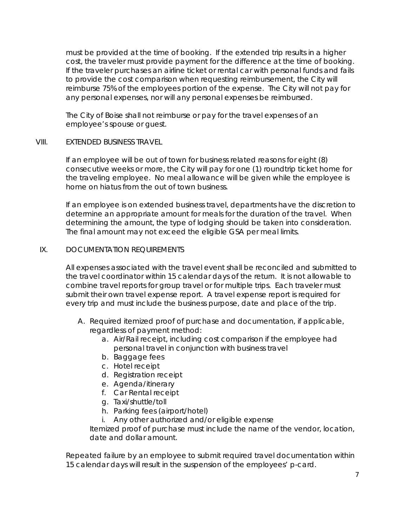must be provided at the time of booking. If the extended trip results in a higher cost, the traveler must provide payment for the difference at the time of booking. If the traveler purchases an airline ticket or rental car with personal funds and fails to provide the cost comparison when requesting reimbursement, the City will reimburse 75% of the employees portion of the expense. The City will not pay for any personal expenses, nor will any personal expenses be reimbursed.

The City of Boise shall not reimburse or pay for the travel expenses of an employee's spouse or guest.

### VIII. EXTENDED BUSINESS TRAVEL

If an employee will be out of town for business related reasons for eight (8) consecutive weeks or more, the City will pay for one (1) roundtrip ticket home for the traveling employee. No meal allowance will be given while the employee is home on hiatus from the out of town business.

If an employee is on extended business travel, departments have the discretion to determine an appropriate amount for meals for the duration of the travel. When determining the amount, the type of lodging should be taken into consideration. The final amount may not exceed the eligible GSA per meal limits.

### IX. DOCUMENTATION REQUIREMENTS

All expenses associated with the travel event shall be reconciled and submitted to the travel coordinator within 15 calendar days of the return. It is not allowable to combine travel reports for group travel or for multiple trips. Each traveler must submit their own travel expense report. A travel expense report is required for every trip and must include the business purpose, date and place of the trip.

- A. Required itemized proof of purchase and documentation, if applicable, regardless of payment method:
	- a. Air/Rail receipt, including cost comparison if the employee had personal travel in conjunction with business travel
	- b. Baggage fees
	- c. Hotel receipt
	- d. Registration receipt
	- e. Agenda/itinerary
	- f. Car Rental receipt
	- g. Taxi/shuttle/toll
	- h. Parking fees (airport/hotel)
	- i. Any other authorized and/or eligible expense

Itemized proof of purchase must include the name of the vendor, location, date and dollar amount.

Repeated failure by an employee to submit required travel documentation within 15 calendar days will result in the suspension of the employees' p-card.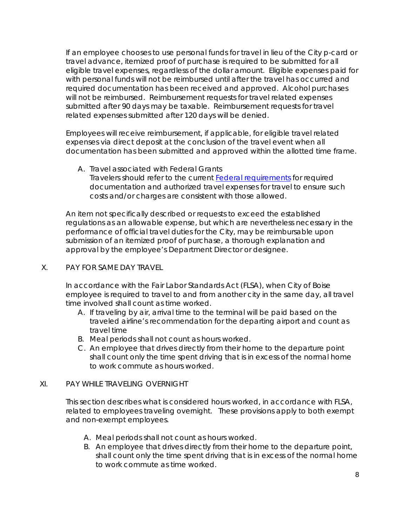If an employee chooses to use personal funds for travel in lieu of the City p-card or travel advance, itemized proof of purchase is required to be submitted for all eligible travel expenses, regardless of the dollar amount. Eligible expenses paid for with personal funds will not be reimbursed until after the travel has occurred and required documentation has been received and approved. Alcohol purchases will not be reimbursed. Reimbursement requests for travel related expenses submitted after 90 days may be taxable. Reimbursement requests for travel related expenses submitted after 120 days will be denied.

Employees will receive reimbursement, if applicable, for eligible travel related expenses via direct deposit at the conclusion of the travel event when all documentation has been submitted and approved within the allotted time frame.

A. Travel associated with Federal Grants Travelers should refer to the current Federal requirements for required documentation and authorized travel expenses for travel to ensure such costs and/or charges are consistent with those allowed.

An item not specifically described or requests to exceed the established regulations as an allowable expense, but which are nevertheless necessary in the performance of official travel duties for the City, may be reimbursable upon submission of an itemized proof of purchase, a thorough explanation and approval by the employee's Department Director or designee.

## X. PAY FOR SAME DAY TRAVEL

In accordance with the Fair Labor Standards Act (FLSA), when City of Boise employee is required to travel to and from another city in the same day, all travel time involved shall count as time worked.

- A. If traveling by air, arrival time to the terminal will be paid based on the traveled airline's recommendation for the departing airport and count as travel time
- B. Meal periods shall not count as hours worked.
- C. An employee that drives directly from their home to the departure point shall count only the time spent driving that is in excess of the normal home to work commute as hours worked.

## XI. PAY WHILE TRAVELING OVERNIGHT

This section describes what is considered hours worked, in accordance with FLSA, related to employees traveling overnight. These provisions apply to both exempt and non-exempt employees.

- A. Meal periods shall not count as hours worked.
- B. An employee that drives directly from their home to the departure point, shall count only the time spent driving that is in excess of the normal home to work commute as time worked.